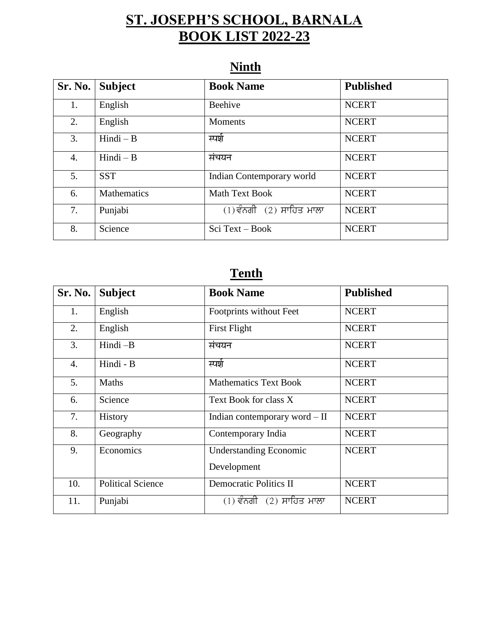### **ST. JOSEPH'S SCHOOL, BARNALA BOOK LIST 2022-23**

| Sr. No. | <b>Subject</b>     | <b>Book Name</b>             | <b>Published</b> |
|---------|--------------------|------------------------------|------------------|
| 1.      | English            | Beehive                      | <b>NCERT</b>     |
| 2.      | English            | <b>Moments</b>               | <b>NCERT</b>     |
| 3.      | $Hindi - B$        | स्पर्श                       | <b>NCERT</b>     |
| 4.      | $Hindi - B$        | संचयन                        | <b>NCERT</b>     |
| 5.      | <b>SST</b>         | Indian Contemporary world    | <b>NCERT</b>     |
| 6.      | <b>Mathematics</b> | <b>Math Text Book</b>        | <b>NCERT</b>     |
| 7.      | Punjabi            | $(1)$ ਵੰਨਗੀ $(2)$ ਸਾਹਿਤ ਮਾਲਾ | <b>NCERT</b>     |
| 8.      | Science            | $Sci Text - Book$            | <b>NCERT</b>     |

#### **Ninth**

#### **Tenth**

| Sr. No. | <b>Subject</b>           | <b>Book Name</b>              | <b>Published</b> |
|---------|--------------------------|-------------------------------|------------------|
| 1.      | English                  | Footprints without Feet       | <b>NCERT</b>     |
| 2.      | English                  | First Flight                  | <b>NCERT</b>     |
| 3.      | Hindi-B                  | संचयन                         | <b>NCERT</b>     |
| 4.      | Hindi - B                | स्पर्श                        | <b>NCERT</b>     |
| 5.      | Maths                    | <b>Mathematics Text Book</b>  | <b>NCERT</b>     |
| 6.      | Science                  | Text Book for class X         | <b>NCERT</b>     |
| 7.      | <b>History</b>           | Indian contemporary word - II | <b>NCERT</b>     |
| 8.      | Geography                | Contemporary India            | <b>NCERT</b>     |
| 9.      | Economics                | <b>Understanding Economic</b> | <b>NCERT</b>     |
|         |                          | Development                   |                  |
| 10.     | <b>Political Science</b> | <b>Democratic Politics II</b> | <b>NCERT</b>     |
| 11.     | Punjabi                  | $(1)$ ਵੰਨਗੀ $(2)$ ਸਾਹਿਤ ਮਾਲਾ  | <b>NCERT</b>     |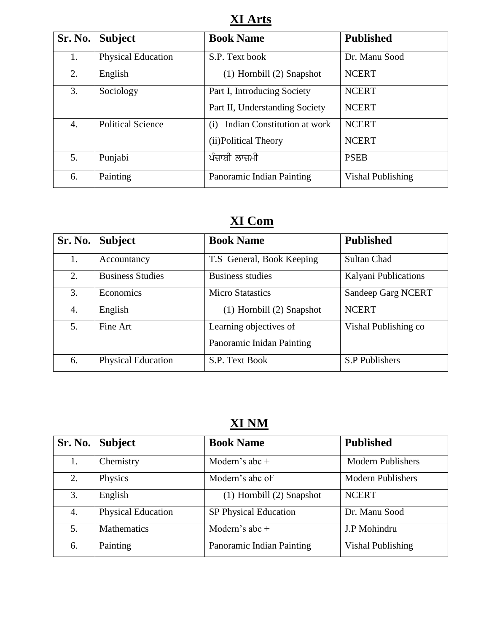**XI Arts** 

| Sr. No. | <b>Subject</b>            | <b>Book Name</b>                   | <b>Published</b>         |
|---------|---------------------------|------------------------------------|--------------------------|
| 1.      | <b>Physical Education</b> | S.P. Text book                     | Dr. Manu Sood            |
| 2.      | English                   | $(1)$ Hornbill $(2)$ Snapshot      | <b>NCERT</b>             |
| 3.      | Sociology                 | Part I, Introducing Society        | <b>NCERT</b>             |
|         |                           | Part II, Understanding Society     | <b>NCERT</b>             |
| 4.      | <b>Political Science</b>  | Indian Constitution at work<br>(i) | <b>NCERT</b>             |
|         |                           | (ii) Political Theory              | <b>NCERT</b>             |
| 5.      | Punjabi                   | ਪੰਜ਼ਾਬੀ ਲਾਜ਼ਮੀ                     | <b>PSEB</b>              |
| 6.      | Painting                  | Panoramic Indian Painting          | <b>Vishal Publishing</b> |

#### **XI Com**

| Sr. No. | <b>Subject</b>            | <b>Book Name</b>                                    | <b>Published</b>     |
|---------|---------------------------|-----------------------------------------------------|----------------------|
| 1.      | Accountancy               | T.S General, Book Keeping                           | Sultan Chad          |
| 2.      | <b>Business Studies</b>   | <b>Business studies</b>                             | Kalyani Publications |
| 3.      | Economics                 | <b>Micro Statastics</b>                             | Sandeep Garg NCERT   |
| 4.      | English                   | $(1)$ Hornbill $(2)$ Snapshot                       | <b>NCERT</b>         |
| 5.      | Fine Art                  | Learning objectives of<br>Panoramic Inidan Painting | Vishal Publishing co |
| 6.      | <b>Physical Education</b> | S.P. Text Book                                      | S.P Publishers       |

## **XI NM**

| Sr. No. | <b>Subject</b>            | <b>Book Name</b>              | <b>Published</b>         |
|---------|---------------------------|-------------------------------|--------------------------|
| 1.      | Chemistry                 | Modern's abc $+$              | <b>Modern Publishers</b> |
| 2.      | Physics                   | Modern's abc oF               | <b>Modern Publishers</b> |
| 3.      | English                   | $(1)$ Hornbill $(2)$ Snapshot | <b>NCERT</b>             |
| 4.      | <b>Physical Education</b> | SP Physical Education         | Dr. Manu Sood            |
| 5.      | <b>Mathematics</b>        | Modern's abc $+$              | J.P Mohindru             |
| 6.      | Painting                  | Panoramic Indian Painting     | <b>Vishal Publishing</b> |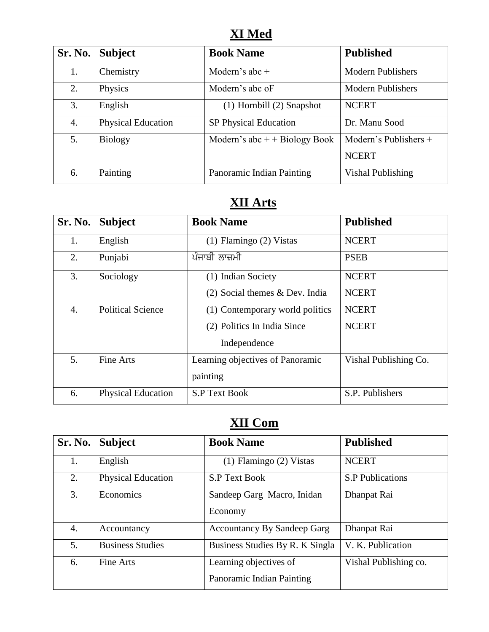#### **XI Med**

| Sr. No. | <b>Subject</b>            | <b>Book Name</b>                | <b>Published</b>         |
|---------|---------------------------|---------------------------------|--------------------------|
| 1.      | Chemistry                 | Modern's abc $+$                | <b>Modern Publishers</b> |
| 2.      | Physics                   | Modern's abc oF                 | <b>Modern Publishers</b> |
| 3.      | English                   | $(1)$ Hornbill $(2)$ Snapshot   | <b>NCERT</b>             |
| 4.      | <b>Physical Education</b> | SP Physical Education           | Dr. Manu Sood            |
| 5.      | <b>Biology</b>            | Modern's abc $+$ + Biology Book | Modern's Publishers $+$  |
|         |                           |                                 | <b>NCERT</b>             |
| 6.      | Painting                  | Panoramic Indian Painting       | <b>Vishal Publishing</b> |

# **XII Arts**

| Sr. No. | <b>Subject</b>            | <b>Book Name</b>                 | <b>Published</b>      |
|---------|---------------------------|----------------------------------|-----------------------|
| 1.      | English                   | (1) Flamingo (2) Vistas          | <b>NCERT</b>          |
| 2.      | Punjabi                   | <u>ਪੰਜਾਬੀ ਲਾਜ਼</u> ਮੀ            | <b>PSEB</b>           |
| 3.      | Sociology                 | (1) Indian Society               | <b>NCERT</b>          |
|         |                           | $(2)$ Social themes & Dev. India | <b>NCERT</b>          |
| 4.      | <b>Political Science</b>  | (1) Contemporary world politics  | <b>NCERT</b>          |
|         |                           | (2) Politics In India Since      | <b>NCERT</b>          |
|         |                           | Independence                     |                       |
| 5.      | Fine Arts                 | Learning objectives of Panoramic | Vishal Publishing Co. |
|         |                           | painting                         |                       |
| 6.      | <b>Physical Education</b> | <b>S.P Text Book</b>             | S.P. Publishers       |

#### **XII Com**

| Sr. No. | <b>Subject</b>            | <b>Book Name</b>                                    | <b>Published</b>        |
|---------|---------------------------|-----------------------------------------------------|-------------------------|
| 1.      | English                   | $(1)$ Flamingo $(2)$ Vistas                         | <b>NCERT</b>            |
| 2.      | <b>Physical Education</b> | <b>S.P Text Book</b>                                | <b>S.P Publications</b> |
| 3.      | Economics                 | Sandeep Garg Macro, Inidan<br>Economy               | Dhanpat Rai             |
| 4.      | Accountancy               | <b>Accountancy By Sandeep Garg</b>                  | Dhanpat Rai             |
| 5.      | <b>Business Studies</b>   | Business Studies By R. K Singla                     | V. K. Publication       |
| 6.      | Fine Arts                 | Learning objectives of<br>Panoramic Indian Painting | Vishal Publishing co.   |